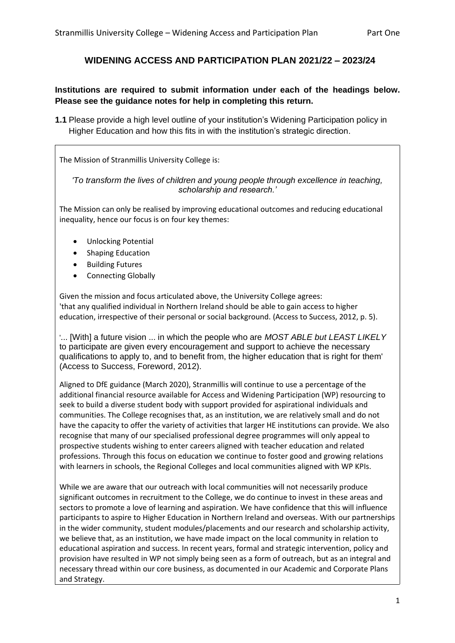# **WIDENING ACCESS AND PARTICIPATION PLAN 2021/22 – 2023/24**

## **Institutions are required to submit information under each of the headings below. Please see the guidance notes for help in completing this return.**

**1.1** Please provide a high level outline of your institution's Widening Participation policy in Higher Education and how this fits in with the institution's strategic direction.

The Mission of Stranmillis University College is:

*'To transform the lives of children and young people through excellence in teaching, scholarship and research.'* 

The Mission can only be realised by improving educational outcomes and reducing educational inequality, hence our focus is on four key themes:

- Unlocking Potential
- Shaping Education
- Building Futures
- Connecting Globally

Given the mission and focus articulated above, the University College agrees: 'that any qualified individual in Northern Ireland should be able to gain access to higher education, irrespective of their personal or social background. (Access to Success, 2012, p. 5).

'... [With] a future vision ... in which the people who are *MOST ABLE but LEAST LIKELY* to participate are given every encouragement and support to achieve the necessary qualifications to apply to, and to benefit from, the higher education that is right for them' (Access to Success, Foreword, 2012).

Aligned to DfE guidance (March 2020), Stranmillis will continue to use a percentage of the additional financial resource available for Access and Widening Participation (WP) resourcing to seek to build a diverse student body with support provided for aspirational individuals and communities. The College recognises that, as an institution, we are relatively small and do not have the capacity to offer the variety of activities that larger HE institutions can provide. We also recognise that many of our specialised professional degree programmes will only appeal to prospective students wishing to enter careers aligned with teacher education and related professions. Through this focus on education we continue to foster good and growing relations with learners in schools, the Regional Colleges and local communities aligned with WP KPIs.

While we are aware that our outreach with local communities will not necessarily produce significant outcomes in recruitment to the College, we do continue to invest in these areas and sectors to promote a love of learning and aspiration. We have confidence that this will influence participants to aspire to Higher Education in Northern Ireland and overseas. With our partnerships in the wider community, student modules/placements and our research and scholarship activity, we believe that, as an institution, we have made impact on the local community in relation to educational aspiration and success. In recent years, formal and strategic intervention, policy and provision have resulted in WP not simply being seen as a form of outreach, but as an integral and necessary thread within our core business, as documented in our Academic and Corporate Plans and Strategy.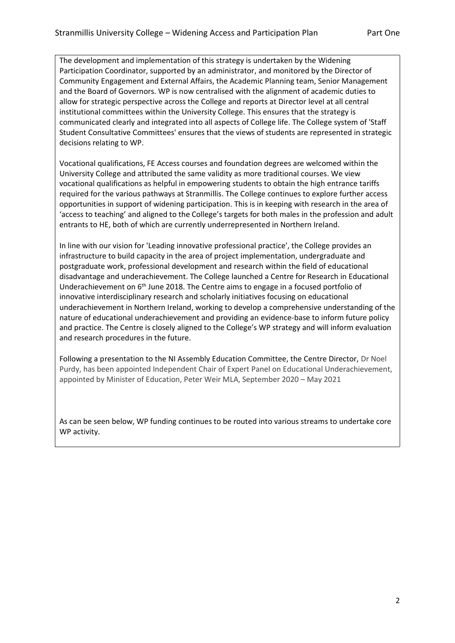The development and implementation of this strategy is undertaken by the Widening Participation Coordinator, supported by an administrator, and monitored by the Director of Community Engagement and External Affairs, the Academic Planning team, Senior Management and the Board of Governors. WP is now centralised with the alignment of academic duties to allow for strategic perspective across the College and reports at Director level at all central institutional committees within the University College. This ensures that the strategy is communicated clearly and integrated into all aspects of College life. The College system of 'Staff Student Consultative Committees' ensures that the views of students are represented in strategic decisions relating to WP.

Vocational qualifications, FE Access courses and foundation degrees are welcomed within the University College and attributed the same validity as more traditional courses. We view vocational qualifications as helpful in empowering students to obtain the high entrance tariffs required for the various pathways at Stranmillis. The College continues to explore further access opportunities in support of widening participation. This is in keeping with research in the area of 'access to teaching' and aligned to the College's targets for both males in the profession and adult entrants to HE, both of which are currently underrepresented in Northern Ireland.

• In line with our vision for 'Leading innovative professional practice', the College provides an infrastructure to build capacity in the area of project implementation, undergraduate and postgraduate work, professional development and research within the field of educational disadvantage and underachievement. The College launched a Centre for Research in Educational Underachievement on  $6<sup>th</sup>$  June 2018. The Centre aims to engage in a focused portfolio of innovative interdisciplinary research and scholarly initiatives focusing on educational underachievement in Northern Ireland, working to develop a comprehensive understanding of the nature of educational underachievement and providing an evidence-base to inform future policy and practice. The Centre is closely aligned to the College's WP strategy and will inform evaluation and research procedures in the future.

• Following a presentation to the NI Assembly Education Committee, the Centre Director, Dr Noel Purdy, has been appointed Independent Chair of Expert Panel on Educational Underachievement, appointed by Minister of Education, Peter Weir MLA, September 2020 – May 2021

As can be seen below, WP funding continues to be routed into various streams to undertake core WP activity.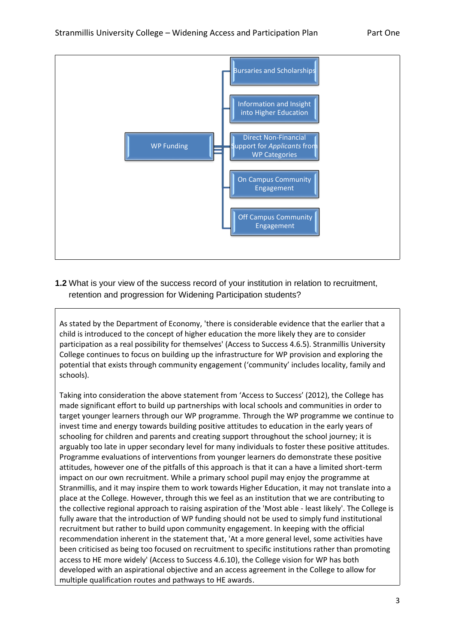

**1.2** What is your view of the success record of your institution in relation to recruitment, retention and progression for Widening Participation students?

As stated by the Department of Economy, 'there is considerable evidence that the earlier that a child is introduced to the concept of higher education the more likely they are to consider participation as a real possibility for themselves' (Access to Success 4.6.5). Stranmillis University College continues to focus on building up the infrastructure for WP provision and exploring the potential that exists through community engagement ('community' includes locality, family and schools).

Taking into consideration the above statement from 'Access to Success' (2012), the College has made significant effort to build up partnerships with local schools and communities in order to target younger learners through our WP programme. Through the WP programme we continue to invest time and energy towards building positive attitudes to education in the early years of schooling for children and parents and creating support throughout the school journey; it is arguably too late in upper secondary level for many individuals to foster these positive attitudes. Programme evaluations of interventions from younger learners do demonstrate these positive attitudes, however one of the pitfalls of this approach is that it can a have a limited short-term impact on our own recruitment. While a primary school pupil may enjoy the programme at Stranmillis, and it may inspire them to work towards Higher Education, it may not translate into a place at the College. However, through this we feel as an institution that we are contributing to the collective regional approach to raising aspiration of the 'Most able - least likely'. The College is fully aware that the introduction of WP funding should not be used to simply fund institutional recruitment but rather to build upon community engagement. In keeping with the official recommendation inherent in the statement that, 'At a more general level, some activities have been criticised as being too focused on recruitment to specific institutions rather than promoting access to HE more widely' (Access to Success 4.6.10), the College vision for WP has both developed with an aspirational objective and an access agreement in the College to allow for multiple qualification routes and pathways to HE awards.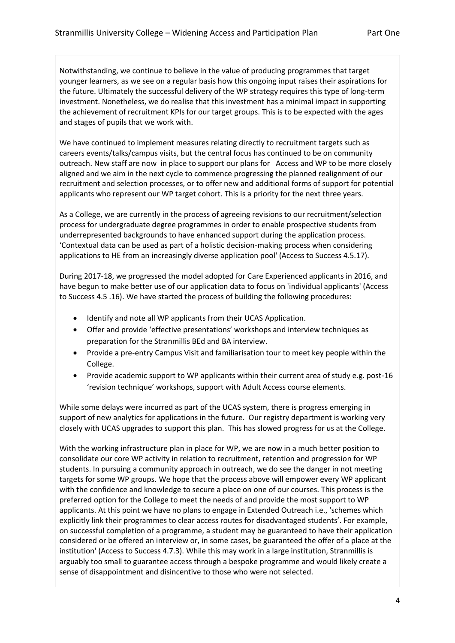Notwithstanding, we continue to believe in the value of producing programmes that target younger learners, as we see on a regular basis how this ongoing input raises their aspirations for the future. Ultimately the successful delivery of the WP strategy requires this type of long-term investment. Nonetheless, we do realise that this investment has a minimal impact in supporting the achievement of recruitment KPIs for our target groups. This is to be expected with the ages and stages of pupils that we work with.

We have continued to implement measures relating directly to recruitment targets such as careers events/talks/campus visits, but the central focus has continued to be on community outreach. New staff are now in place to support our plans for Access and WP to be more closely aligned and we aim in the next cycle to commence progressing the planned realignment of our recruitment and selection processes, or to offer new and additional forms of support for potential applicants who represent our WP target cohort. This is a priority for the next three years.

As a College, we are currently in the process of agreeing revisions to our recruitment/selection process for undergraduate degree programmes in order to enable prospective students from underrepresented backgrounds to have enhanced support during the application process. 'Contextual data can be used as part of a holistic decision-making process when considering applications to HE from an increasingly diverse application pool' (Access to Success 4.5.17).

During 2017-18, we progressed the model adopted for Care Experienced applicants in 2016, and have begun to make better use of our application data to focus on 'individual applicants' (Access to Success 4.5 .16). We have started the process of building the following procedures:

- Identify and note all WP applicants from their UCAS Application.
- Offer and provide 'effective presentations' workshops and interview techniques as preparation for the Stranmillis BEd and BA interview.
- Provide a pre-entry Campus Visit and familiarisation tour to meet key people within the College.
- Provide academic support to WP applicants within their current area of study e.g. post-16 'revision technique' workshops, support with Adult Access course elements.

While some delays were incurred as part of the UCAS system, there is progress emerging in support of new analytics for applications in the future. Our registry department is working very closely with UCAS upgrades to support this plan. This has slowed progress for us at the College.

With the working infrastructure plan in place for WP, we are now in a much better position to consolidate our core WP activity in relation to recruitment, retention and progression for WP students. In pursuing a community approach in outreach, we do see the danger in not meeting targets for some WP groups. We hope that the process above will empower every WP applicant with the confidence and knowledge to secure a place on one of our courses. This process is the preferred option for the College to meet the needs of and provide the most support to WP applicants. At this point we have no plans to engage in Extended Outreach i.e., 'schemes which explicitly link their programmes to clear access routes for disadvantaged students'. For example, on successful completion of a programme, a student may be guaranteed to have their application considered or be offered an interview or, in some cases, be guaranteed the offer of a place at the institution' (Access to Success 4.7.3). While this may work in a large institution, Stranmillis is arguably too small to guarantee access through a bespoke programme and would likely create a sense of disappointment and disincentive to those who were not selected.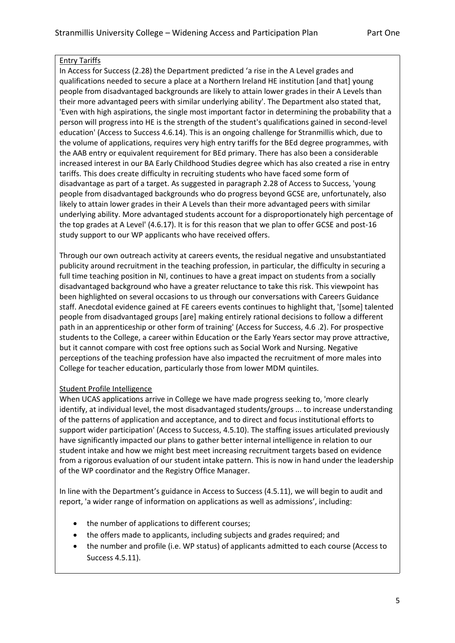## Entry Tariffs

In Access for Success (2.28) the Department predicted 'a rise in the A Level grades and qualifications needed to secure a place at a Northern Ireland HE institution [and that] young people from disadvantaged backgrounds are likely to attain lower grades in their A Levels than their more advantaged peers with similar underlying ability'. The Department also stated that, 'Even with high aspirations, the single most important factor in determining the probability that a person will progress into HE is the strength of the student's qualifications gained in second-level education' (Access to Success 4.6.14). This is an ongoing challenge for Stranmillis which, due to the volume of applications, requires very high entry tariffs for the BEd degree programmes, with the AAB entry or equivalent requirement for BEd primary. There has also been a considerable increased interest in our BA Early Childhood Studies degree which has also created a rise in entry tariffs. This does create difficulty in recruiting students who have faced some form of disadvantage as part of a target. As suggested in paragraph 2.28 of Access to Success, 'young people from disadvantaged backgrounds who do progress beyond GCSE are, unfortunately, also likely to attain lower grades in their A Levels than their more advantaged peers with similar underlying ability. More advantaged students account for a disproportionately high percentage of the top grades at A Level' (4.6.17). It is for this reason that we plan to offer GCSE and post-16 study support to our WP applicants who have received offers.

Through our own outreach activity at careers events, the residual negative and unsubstantiated publicity around recruitment in the teaching profession, in particular, the difficulty in securing a full time teaching position in NI, continues to have a great impact on students from a socially disadvantaged background who have a greater reluctance to take this risk. This viewpoint has been highlighted on several occasions to us through our conversations with Careers Guidance staff. Anecdotal evidence gained at FE careers events continues to highlight that, '[some] talented people from disadvantaged groups [are] making entirely rational decisions to follow a different path in an apprenticeship or other form of training' (Access for Success, 4.6 .2). For prospective students to the College, a career within Education or the Early Years sector may prove attractive, but it cannot compare with cost free options such as Social Work and Nursing. Negative perceptions of the teaching profession have also impacted the recruitment of more males into College for teacher education, particularly those from lower MDM quintiles.

# Student Profile Intelligence

When UCAS applications arrive in College we have made progress seeking to, 'more clearly identify, at individual level, the most disadvantaged students/groups ... to increase understanding of the patterns of application and acceptance, and to direct and focus institutional efforts to support wider participation' (Access to Success, 4.5.10). The staffing issues articulated previously have significantly impacted our plans to gather better internal intelligence in relation to our student intake and how we might best meet increasing recruitment targets based on evidence from a rigorous evaluation of our student intake pattern. This is now in hand under the leadership of the WP coordinator and the Registry Office Manager.

In line with the Department's guidance in Access to Success (4.5.11), we will begin to audit and report, 'a wider range of information on applications as well as admissions', including:

- the number of applications to different courses;
- the offers made to applicants, including subjects and grades required; and
- the number and profile (i.e. WP status) of applicants admitted to each course (Access to Success 4.5.11).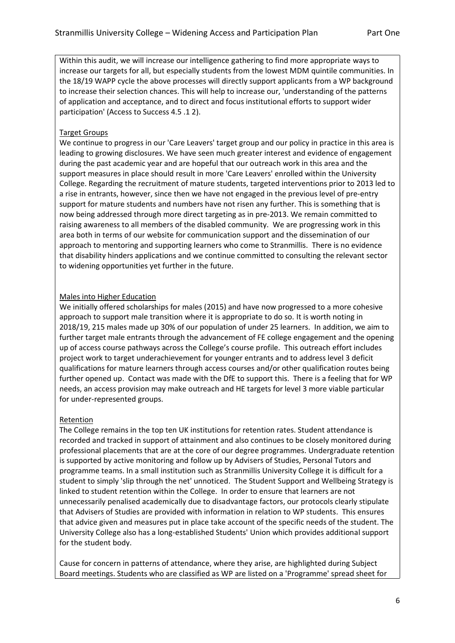Within this audit, we will increase our intelligence gathering to find more appropriate ways to increase our targets for all, but especially students from the lowest MDM quintile communities. In the 18/19 WAPP cycle the above processes will directly support applicants from a WP background to increase their selection chances. This will help to increase our, 'understanding of the patterns of application and acceptance, and to direct and focus institutional efforts to support wider participation' (Access to Success 4.5 .1 2).

### Target Groups

We continue to progress in our 'Care Leavers' target group and our policy in practice in this area is leading to growing disclosures. We have seen much greater interest and evidence of engagement during the past academic year and are hopeful that our outreach work in this area and the support measures in place should result in more 'Care Leavers' enrolled within the University College. Regarding the recruitment of mature students, targeted interventions prior to 2013 led to a rise in entrants, however, since then we have not engaged in the previous level of pre-entry support for mature students and numbers have not risen any further. This is something that is now being addressed through more direct targeting as in pre-2013. We remain committed to raising awareness to all members of the disabled community. We are progressing work in this area both in terms of our website for communication support and the dissemination of our approach to mentoring and supporting learners who come to Stranmillis. There is no evidence that disability hinders applications and we continue committed to consulting the relevant sector to widening opportunities yet further in the future.

### Males into Higher Education

We initially offered scholarships for males (2015) and have now progressed to a more cohesive approach to support male transition where it is appropriate to do so. It is worth noting in 2018/19, 215 males made up 30% of our population of under 25 learners. In addition, we aim to further target male entrants through the advancement of FE college engagement and the opening up of access course pathways across the College's course profile. This outreach effort includes project work to target underachievement for younger entrants and to address level 3 deficit qualifications for mature learners through access courses and/or other qualification routes being further opened up. Contact was made with the DfE to support this. There is a feeling that for WP needs, an access provision may make outreach and HE targets for level 3 more viable particular for under-represented groups.

#### Retention

The College remains in the top ten UK institutions for retention rates. Student attendance is recorded and tracked in support of attainment and also continues to be closely monitored during professional placements that are at the core of our degree programmes. Undergraduate retention is supported by active monitoring and follow up by Advisers of Studies, Personal Tutors and programme teams. In a small institution such as Stranmillis University College it is difficult for a student to simply 'slip through the net' unnoticed. The Student Support and Wellbeing Strategy is linked to student retention within the College. In order to ensure that learners are not unnecessarily penalised academically due to disadvantage factors, our protocols clearly stipulate that Advisers of Studies are provided with information in relation to WP students. This ensures that advice given and measures put in place take account of the specific needs of the student. The University College also has a long-established Students' Union which provides additional support for the student body.

Cause for concern in patterns of attendance, where they arise, are highlighted during Subject Board meetings. Students who are classified as WP are listed on a 'Programme' spread sheet for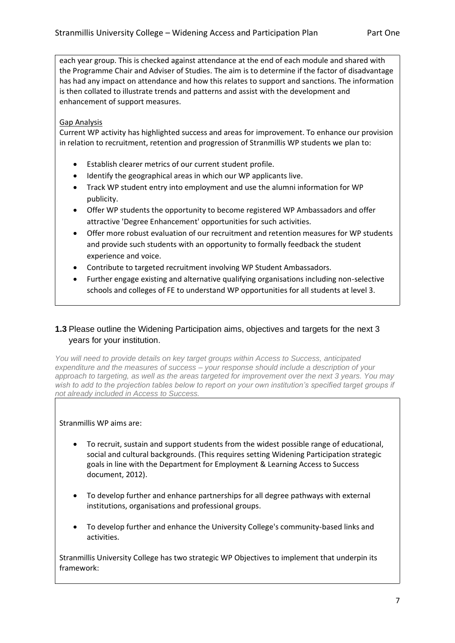each year group. This is checked against attendance at the end of each module and shared with the Programme Chair and Adviser of Studies. The aim is to determine if the factor of disadvantage has had any impact on attendance and how this relates to support and sanctions. The information is then collated to illustrate trends and patterns and assist with the development and enhancement of support measures.

## Gap Analysis

Current WP activity has highlighted success and areas for improvement. To enhance our provision in relation to recruitment, retention and progression of Stranmillis WP students we plan to:

- Establish clearer metrics of our current student profile.
- Identify the geographical areas in which our WP applicants live.
- Track WP student entry into employment and use the alumni information for WP publicity.
- Offer WP students the opportunity to become registered WP Ambassadors and offer attractive 'Degree Enhancement' opportunities for such activities.
- Offer more robust evaluation of our recruitment and retention measures for WP students and provide such students with an opportunity to formally feedback the student experience and voice.
- Contribute to targeted recruitment involving WP Student Ambassadors.
- Further engage existing and alternative qualifying organisations including non-selective schools and colleges of FE to understand WP opportunities for all students at level 3.

# **1.3** Please outline the Widening Participation aims, objectives and targets for the next 3 years for your institution.

*You will need to provide details on key target groups within Access to Success, anticipated expenditure and the measures of success – your response should include a description of your approach to targeting, as well as the areas targeted for improvement over the next 3 years. You may wish to add to the projection tables below to report on your own institution's specified target groups if not already included in Access to Success.*

## Stranmillis WP aims are:

- To recruit, sustain and support students from the widest possible range of educational, social and cultural backgrounds. (This requires setting Widening Participation strategic goals in line with the Department for Employment & Learning Access to Success document, 2012).
- To develop further and enhance partnerships for all degree pathways with external institutions, organisations and professional groups.
- To develop further and enhance the University College's community-based links and activities.

Stranmillis University College has two strategic WP Objectives to implement that underpin its framework: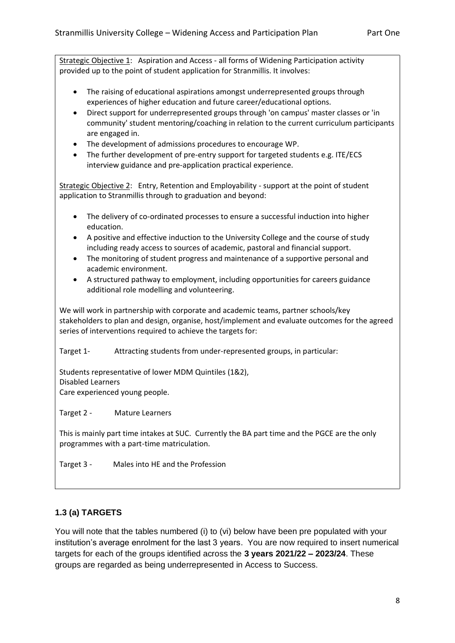Strategic Objective 1: Aspiration and Access - all forms of Widening Participation activity provided up to the point of student application for Stranmillis. It involves:

- The raising of educational aspirations amongst underrepresented groups through experiences of higher education and future career/educational options.
- Direct support for underrepresented groups through 'on campus' master classes or 'in community' student mentoring/coaching in relation to the current curriculum participants are engaged in.
- The development of admissions procedures to encourage WP.
- The further development of pre-entry support for targeted students e.g. ITE/ECS interview guidance and pre-application practical experience.

Strategic Objective 2: Entry, Retention and Employability - support at the point of student application to Stranmillis through to graduation and beyond:

- The delivery of co-ordinated processes to ensure a successful induction into higher education.
- A positive and effective induction to the University College and the course of study including ready access to sources of academic, pastoral and financial support.
- The monitoring of student progress and maintenance of a supportive personal and academic environment.
- A structured pathway to employment, including opportunities for careers guidance additional role modelling and volunteering.

We will work in partnership with corporate and academic teams, partner schools/key stakeholders to plan and design, organise, host/implement and evaluate outcomes for the agreed series of interventions required to achieve the targets for:

Target 1- Attracting students from under-represented groups, in particular:

Students representative of lower MDM Quintiles (1&2), Disabled Learners Care experienced young people.

Target 2 - Mature Learners

This is mainly part time intakes at SUC. Currently the BA part time and the PGCE are the only programmes with a part-time matriculation.

Target 3 - Males into HE and the Profession

# **1.3 (a) TARGETS**

You will note that the tables numbered (i) to (vi) below have been pre populated with your institution's average enrolment for the last 3 years. You are now required to insert numerical targets for each of the groups identified across the **3 years 2021/22 – 2023/24**. These groups are regarded as being underrepresented in Access to Success.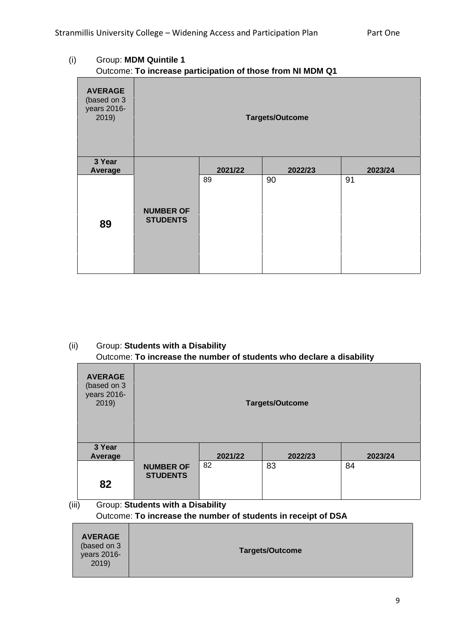# (i) Group: **MDM Quintile 1** Outcome: **To increase participation of those from NI MDM Q1**

| <b>AVERAGE</b><br>(based on 3<br>years 2016-<br>2019) | <b>Targets/Outcome</b>              |         |         |         |
|-------------------------------------------------------|-------------------------------------|---------|---------|---------|
| 3 Year<br>Average                                     |                                     | 2021/22 | 2022/23 | 2023/24 |
| 89                                                    | <b>NUMBER OF</b><br><b>STUDENTS</b> | 89      | 90      | 91      |

# (ii) Group: **Students with a Disability** Outcome: **To increase the number of students who declare a disability**

2019)

|       | <b>AVERAGE</b><br>(based on 3<br>years 2016-<br>2019)         | <b>Targets/Outcome</b>              |         |         |         |
|-------|---------------------------------------------------------------|-------------------------------------|---------|---------|---------|
|       | 3 Year<br>Average                                             |                                     | 2021/22 | 2022/23 | 2023/24 |
|       |                                                               | <b>NUMBER OF</b><br><b>STUDENTS</b> | 82      | 83      | 84      |
|       | 82                                                            |                                     |         |         |         |
| (iii) |                                                               | Group: Students with a Disability   |         |         |         |
|       | Outcome: To increase the number of students in receipt of DSA |                                     |         |         |         |
|       | <b>AVERAGE</b><br>(based on 3<br>years 2016-                  | <b>Targets/Outcome</b>              |         |         |         |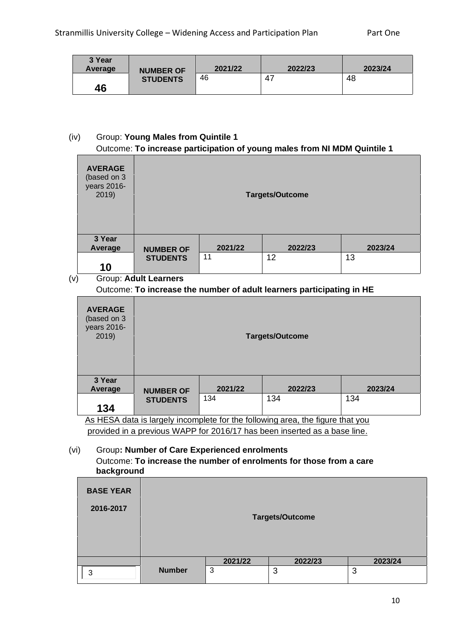| 3 Year<br>Average | <b>NUMBER OF</b> | 2021/22 | 2022/23 | 2023/24 |
|-------------------|------------------|---------|---------|---------|
| 46                | <b>STUDENTS</b>  | 46      | 47      | 48      |

## (iv) Group: **Young Males from Quintile 1** Outcome: **To increase participation of young males from NI MDM Quintile 1**

| <b>AVERAGE</b><br>(based on 3<br>years 2016-<br>2019) |                  |         | <b>Targets/Outcome</b> |         |
|-------------------------------------------------------|------------------|---------|------------------------|---------|
| 3 Year<br>Average                                     | <b>NUMBER OF</b> | 2021/22 | 2022/23                | 2023/24 |
| 10                                                    | <b>STUDENTS</b>  | 11      | 12                     | 13      |

(v) Group: **Adult Learners**

# Outcome: **To increase the number of adult learners participating in HE**

| <b>AVERAGE</b><br>(based on 3<br>years 2016-<br>2019) | <b>Targets/Outcome</b>                                                         |         |         |         |  |
|-------------------------------------------------------|--------------------------------------------------------------------------------|---------|---------|---------|--|
| 3 Year<br>Average                                     | <b>NUMBER OF</b>                                                               | 2021/22 | 2022/23 | 2023/24 |  |
| 134                                                   | 134<br>134<br>134<br><b>STUDENTS</b>                                           |         |         |         |  |
|                                                       | As HESA data is largely incomplete for the following area, the figure that you |         |         |         |  |

provided in a previous WAPP for 2016/17 has been inserted as a base line.

## (vi) Group**: Number of Care Experienced enrolments** Outcome: **To increase the number of enrolments for those from a care background**

| <b>BASE YEAR</b> |                        |         |         |         |  |
|------------------|------------------------|---------|---------|---------|--|
| 2016-2017        |                        |         |         |         |  |
|                  | <b>Targets/Outcome</b> |         |         |         |  |
|                  |                        |         |         |         |  |
|                  |                        | 2021/22 | 2022/23 | 2023/24 |  |
| 3                | <b>Number</b>          | 3       | 3       | 3       |  |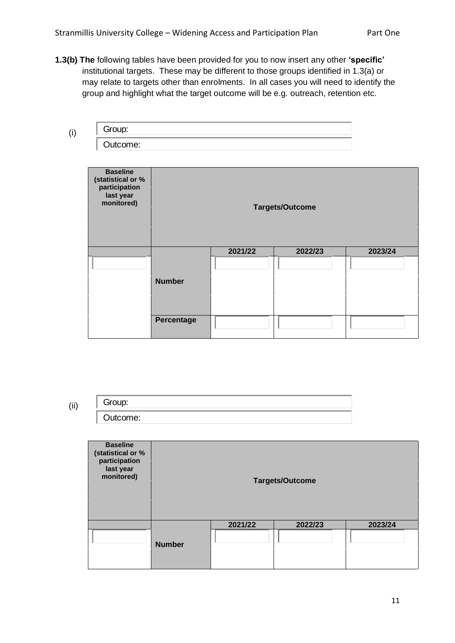**1.3(b) The** following tables have been provided for you to now insert any other **'specific'** institutional targets. These may be different to those groups identified in 1.3(a) or may relate to targets other than enrolments. In all cases you will need to identify the group and highlight what the target outcome will be e.g. outreach, retention etc.

| luurile. |  |  |
|----------|--|--|

| Group:                                                                           |               |         |                        |         |
|----------------------------------------------------------------------------------|---------------|---------|------------------------|---------|
| Outcome:                                                                         |               |         |                        |         |
|                                                                                  |               |         |                        |         |
| <b>Baseline</b><br>(statistical or %<br>participation<br>last year<br>monitored) |               |         | <b>Targets/Outcome</b> |         |
|                                                                                  |               | 2021/22 | 2022/23                | 2023/24 |
|                                                                                  |               |         |                        |         |
|                                                                                  | <b>Number</b> |         |                        |         |
|                                                                                  |               |         |                        |         |
|                                                                                  | Percentage    |         |                        |         |
| Group:                                                                           |               |         |                        |         |
|                                                                                  |               |         |                        |         |
| Outcome:                                                                         |               |         |                        |         |

(ii)

(i)

| <b>Baseline</b><br>(statistical or %<br>participation<br>last year<br>monitored) | <b>Targets/Outcome</b> |         |         |         |  |
|----------------------------------------------------------------------------------|------------------------|---------|---------|---------|--|
|                                                                                  |                        | 2021/22 | 2022/23 | 2023/24 |  |
|                                                                                  | <b>Number</b>          |         |         |         |  |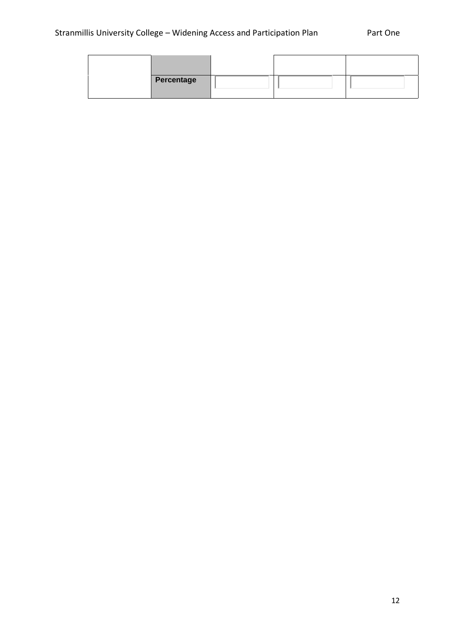| Percentage |  |  |
|------------|--|--|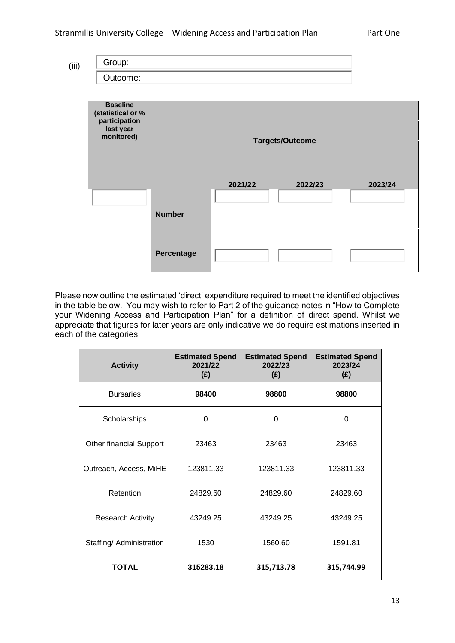(iii)

Group:<br>Outcome:

| <b>Baseline</b><br>(statistical or %<br>participation<br>last year<br>monitored) | <b>Targets/Outcome</b> |         |         |         |  |
|----------------------------------------------------------------------------------|------------------------|---------|---------|---------|--|
|                                                                                  |                        | 2021/22 | 2022/23 | 2023/24 |  |
|                                                                                  | <b>Number</b>          |         |         |         |  |
|                                                                                  | Percentage             |         |         |         |  |

Please now outline the estimated 'direct' expenditure required to meet the identified objectives in the table below. You may wish to refer to Part 2 of the guidance notes in "How to Complete your Widening Access and Participation Plan" for a definition of direct spend. Whilst we appreciate that figures for later years are only indicative we do require estimations inserted in each of the categories.

| <b>Activity</b>          | <b>Estimated Spend</b><br>2021/22<br>(E) | <b>Estimated Spend</b><br>2022/23<br>(E) | <b>Estimated Spend</b><br>2023/24<br>(E) |
|--------------------------|------------------------------------------|------------------------------------------|------------------------------------------|
| <b>Bursaries</b>         | 98400                                    | 98800                                    | 98800                                    |
| Scholarships             | $\Omega$                                 | $\Omega$                                 | $\Omega$                                 |
| Other financial Support  | 23463                                    | 23463                                    | 23463                                    |
| Outreach, Access, MiHE   | 123811.33                                | 123811.33                                | 123811.33                                |
| Retention                | 24829.60                                 | 24829.60                                 | 24829.60                                 |
| <b>Research Activity</b> | 43249.25                                 | 43249.25                                 | 43249.25                                 |
| Staffing/ Administration | 1530                                     | 1560.60                                  | 1591.81                                  |
| <b>TOTAL</b>             | 315283.18                                | 315,713.78                               | 315,744.99                               |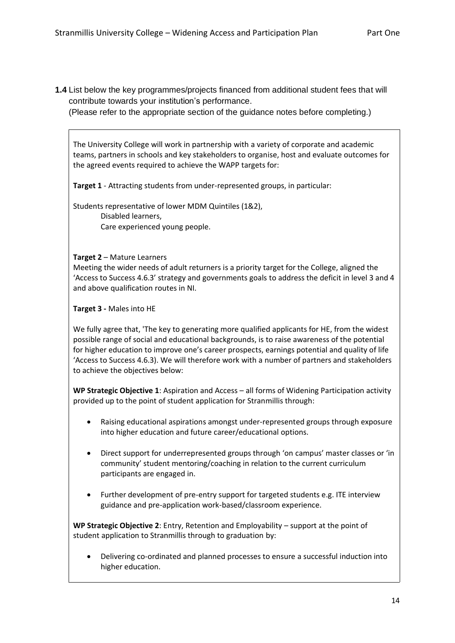**1.4** List below the key programmes/projects financed from additional student fees that will contribute towards your institution's performance.

(Please refer to the appropriate section of the guidance notes before completing.)

The University College will work in partnership with a variety of corporate and academic teams, partners in schools and key stakeholders to organise, host and evaluate outcomes for the agreed events required to achieve the WAPP targets for:

**Target 1** - Attracting students from under-represented groups, in particular:

Students representative of lower MDM Quintiles (1&2), Disabled learners, Care experienced young people.

#### **Target 2** – Mature Learners

Meeting the wider needs of adult returners is a priority target for the College, aligned the 'Access to Success 4.6.3' strategy and governments goals to address the deficit in level 3 and 4 and above qualification routes in NI.

### **Target 3 -** Males into HE

We fully agree that, 'The key to generating more qualified applicants for HE, from the widest possible range of social and educational backgrounds, is to raise awareness of the potential for higher education to improve one's career prospects, earnings potential and quality of life 'Access to Success 4.6.3). We will therefore work with a number of partners and stakeholders to achieve the objectives below:

**WP Strategic Objective 1**: Aspiration and Access – all forms of Widening Participation activity provided up to the point of student application for Stranmillis through:

- Raising educational aspirations amongst under-represented groups through exposure into higher education and future career/educational options.
- Direct support for underrepresented groups through 'on campus' master classes or 'in community' student mentoring/coaching in relation to the current curriculum participants are engaged in.
- Further development of pre-entry support for targeted students e.g. ITE interview guidance and pre-application work-based/classroom experience.

**WP Strategic Objective 2**: Entry, Retention and Employability – support at the point of student application to Stranmillis through to graduation by:

• Delivering co-ordinated and planned processes to ensure a successful induction into higher education.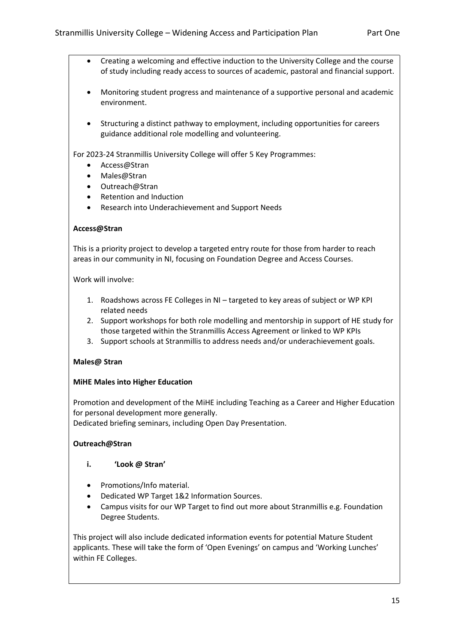- Creating a welcoming and effective induction to the University College and the course of study including ready access to sources of academic, pastoral and financial support.
- Monitoring student progress and maintenance of a supportive personal and academic environment.
- Structuring a distinct pathway to employment, including opportunities for careers guidance additional role modelling and volunteering.

For 2023-24 Stranmillis University College will offer 5 Key Programmes:

- Access@Stran
- Males@Stran
- Outreach@Stran
- Retention and Induction
- Research into Underachievement and Support Needs

### **Access@Stran**

This is a priority project to develop a targeted entry route for those from harder to reach areas in our community in NI, focusing on Foundation Degree and Access Courses.

Work will involve:

- 1. Roadshows across FE Colleges in NI targeted to key areas of subject or WP KPI related needs
- 2. Support workshops for both role modelling and mentorship in support of HE study for those targeted within the Stranmillis Access Agreement or linked to WP KPIs
- 3. Support schools at Stranmillis to address needs and/or underachievement goals.

#### **Males@ Stran**

## **MiHE Males into Higher Education**

Promotion and development of the MiHE including Teaching as a Career and Higher Education for personal development more generally.

Dedicated briefing seminars, including Open Day Presentation.

## **Outreach@Stran**

- **i. 'Look @ Stran'**
- Promotions/Info material.
- Dedicated WP Target 1&2 Information Sources.
- Campus visits for our WP Target to find out more about Stranmillis e.g. Foundation Degree Students.

This project will also include dedicated information events for potential Mature Student applicants. These will take the form of 'Open Evenings' on campus and 'Working Lunches' within FE Colleges.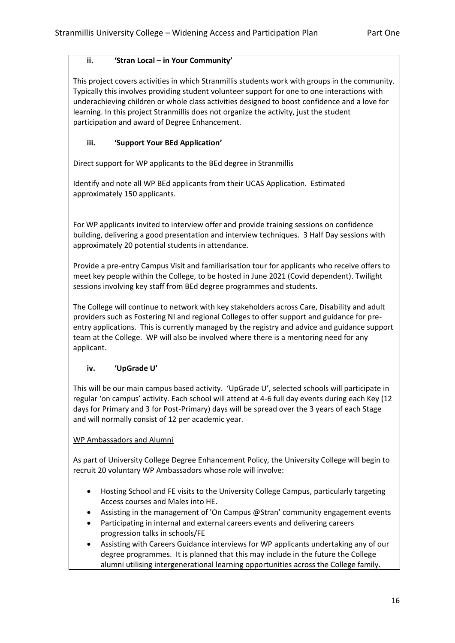# **ii. 'Stran Local – in Your Community'**

This project covers activities in which Stranmillis students work with groups in the community. Typically this involves providing student volunteer support for one to one interactions with underachieving children or whole class activities designed to boost confidence and a love for learning. In this project Stranmillis does not organize the activity, just the student participation and award of Degree Enhancement.

# **iii. 'Support Your BEd Application'**

Direct support for WP applicants to the BEd degree in Stranmillis

Identify and note all WP BEd applicants from their UCAS Application. Estimated approximately 150 applicants.

For WP applicants invited to interview offer and provide training sessions on confidence building, delivering a good presentation and interview techniques. 3 Half Day sessions with approximately 20 potential students in attendance.

Provide a pre-entry Campus Visit and familiarisation tour for applicants who receive offers to meet key people within the College, to be hosted in June 2021 (Covid dependent). Twilight sessions involving key staff from BEd degree programmes and students.

The College will continue to network with key stakeholders across Care, Disability and adult providers such as Fostering NI and regional Colleges to offer support and guidance for preentry applications. This is currently managed by the registry and advice and guidance support team at the College. WP will also be involved where there is a mentoring need for any applicant.

# **iv. 'UpGrade U'**

This will be our main campus based activity. 'UpGrade U', selected schools will participate in regular 'on campus' activity. Each school will attend at 4-6 full day events during each Key (12 days for Primary and 3 for Post-Primary) days will be spread over the 3 years of each Stage and will normally consist of 12 per academic year.

# WP Ambassadors and Alumni

As part of University College Degree Enhancement Policy, the University College will begin to recruit 20 voluntary WP Ambassadors whose role will involve:

- Hosting School and FE visits to the University College Campus, particularly targeting Access courses and Males into HE.
- Assisting in the management of 'On Campus @Stran' community engagement events
- Participating in internal and external careers events and delivering careers progression talks in schools/FE
- Assisting with Careers Guidance interviews for WP applicants undertaking any of our degree programmes. It is planned that this may include in the future the College alumni utilising intergenerational learning opportunities across the College family.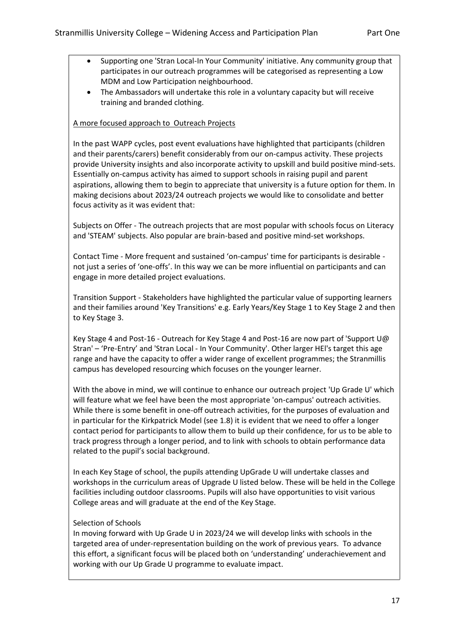- Supporting one 'Stran Local-In Your Community' initiative. Any community group that participates in our outreach programmes will be categorised as representing a Low MDM and Low Participation neighbourhood.
- The Ambassadors will undertake this role in a voluntary capacity but will receive training and branded clothing.

## A more focused approach to Outreach Projects

In the past WAPP cycles, post event evaluations have highlighted that participants (children and their parents/carers) benefit considerably from our on-campus activity. These projects provide University insights and also incorporate activity to upskill and build positive mind-sets. Essentially on-campus activity has aimed to support schools in raising pupil and parent aspirations, allowing them to begin to appreciate that university is a future option for them. In making decisions about 2023/24 outreach projects we would like to consolidate and better focus activity as it was evident that:

Subjects on Offer - The outreach projects that are most popular with schools focus on Literacy and 'STEAM' subjects. Also popular are brain-based and positive mind-set workshops.

Contact Time - More frequent and sustained 'on-campus' time for participants is desirable not just a series of 'one-offs'. In this way we can be more influential on participants and can engage in more detailed project evaluations.

Transition Support - Stakeholders have highlighted the particular value of supporting learners and their families around 'Key Transitions' e.g. Early Years/Key Stage 1 to Key Stage 2 and then to Key Stage 3.

Key Stage 4 and Post-16 - Outreach for Key Stage 4 and Post-16 are now part of 'Support U@ Stran' – 'Pre-Entry' and 'Stran Local - In Your Community'. Other larger HEl's target this age range and have the capacity to offer a wider range of excellent programmes; the Stranmillis campus has developed resourcing which focuses on the younger learner.

With the above in mind, we will continue to enhance our outreach project 'Up Grade U' which will feature what we feel have been the most appropriate 'on-campus' outreach activities. While there is some benefit in one-off outreach activities, for the purposes of evaluation and in particular for the Kirkpatrick Model (see 1.8) it is evident that we need to offer a longer contact period for participants to allow them to build up their confidence, for us to be able to track progress through a longer period, and to link with schools to obtain performance data related to the pupil's social background.

In each Key Stage of school, the pupils attending UpGrade U will undertake classes and workshops in the curriculum areas of Upgrade U listed below. These will be held in the College facilities including outdoor classrooms. Pupils will also have opportunities to visit various College areas and will graduate at the end of the Key Stage.

## Selection of Schools

In moving forward with Up Grade U in 2023/24 we will develop links with schools in the targeted area of under-representation building on the work of previous years. To advance this effort, a significant focus will be placed both on 'understanding' underachievement and working with our Up Grade U programme to evaluate impact.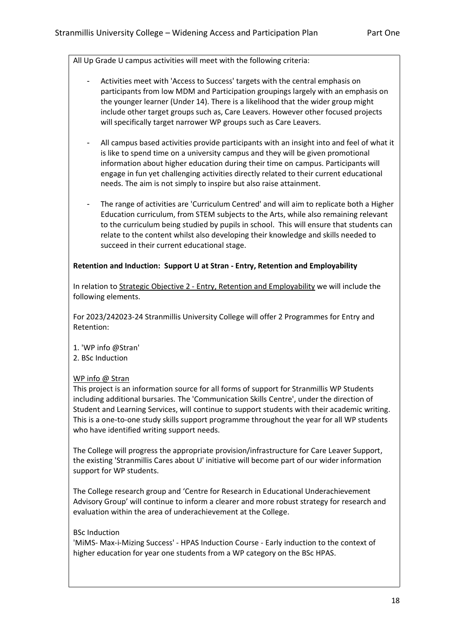All Up Grade U campus activities will meet with the following criteria:

- Activities meet with 'Access to Success' targets with the central emphasis on participants from low MDM and Participation groupings largely with an emphasis on the younger learner (Under 14). There is a likelihood that the wider group might include other target groups such as, Care Leavers. However other focused projects will specifically target narrower WP groups such as Care Leavers.
- All campus based activities provide participants with an insight into and feel of what it is like to spend time on a university campus and they will be given promotional information about higher education during their time on campus. Participants will engage in fun yet challenging activities directly related to their current educational needs. The aim is not simply to inspire but also raise attainment.
- The range of activities are 'Curriculum Centred' and will aim to replicate both a Higher Education curriculum, from STEM subjects to the Arts, while also remaining relevant to the curriculum being studied by pupils in school. This will ensure that students can relate to the content whilst also developing their knowledge and skills needed to succeed in their current educational stage.

## **Retention and Induction: Support U at Stran - Entry, Retention and Employability**

In relation to Strategic Objective 2 - Entry, Retention and Employability we will include the following elements.

For 2023/242023-24 Stranmillis University College will offer 2 Programmes for Entry and Retention:

1. 'WP info @Stran' 2. BSc Induction

## WP info @ Stran

This project is an information source for all forms of support for Stranmillis WP Students including additional bursaries. The 'Communication Skills Centre', under the direction of Student and Learning Services, will continue to support students with their academic writing. This is a one-to-one study skills support programme throughout the year for all WP students who have identified writing support needs.

The College will progress the appropriate provision/infrastructure for Care Leaver Support, the existing 'Stranmillis Cares about U' initiative will become part of our wider information support for WP students.

The College research group and 'Centre for Research in Educational Underachievement Advisory Group' will continue to inform a clearer and more robust strategy for research and evaluation within the area of underachievement at the College.

## BSc Induction

'MiMS- Max-i-Mizing Success' - HPAS Induction Course - Early induction to the context of higher education for year one students from a WP category on the BSc HPAS.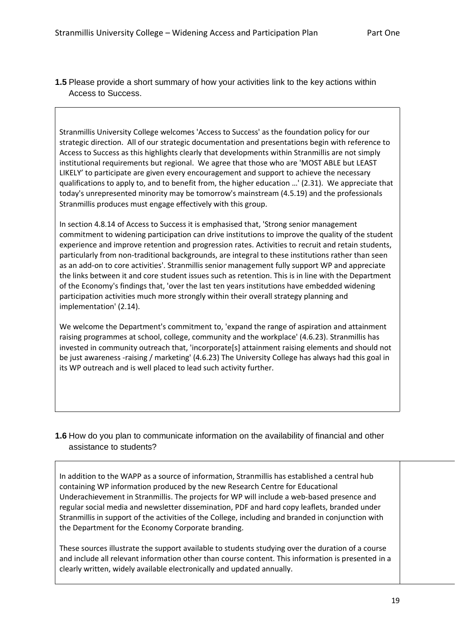**1.5** Please provide a short summary of how your activities link to the key actions within Access to Success.

Stranmillis University College welcomes 'Access to Success' as the foundation policy for our strategic direction. All of our strategic documentation and presentations begin with reference to Access to Success as this highlights clearly that developments within Stranmillis are not simply institutional requirements but regional. We agree that those who are 'MOST ABLE but LEAST LIKELY' to participate are given every encouragement and support to achieve the necessary qualifications to apply to, and to benefit from, the higher education …' (2.31). We appreciate that today's unrepresented minority may be tomorrow's mainstream (4.5.19) and the professionals Stranmillis produces must engage effectively with this group.

In section 4.8.14 of Access to Success it is emphasised that, 'Strong senior management commitment to widening participation can drive institutions to improve the quality of the student experience and improve retention and progression rates. Activities to recruit and retain students, particularly from non-traditional backgrounds, are integral to these institutions rather than seen as an add-on to core activities'. Stranmillis senior management fully support WP and appreciate the links between it and core student issues such as retention. This is in line with the Department of the Economy's findings that, 'over the last ten years institutions have embedded widening participation activities much more strongly within their overall strategy planning and implementation' (2.14).

We welcome the Department's commitment to, 'expand the range of aspiration and attainment raising programmes at school, college, community and the workplace' (4.6.23). Stranmillis has invested in community outreach that, 'incorporate[s] attainment raising elements and should not be just awareness -raising / marketing' (4.6.23) The University College has always had this goal in its WP outreach and is well placed to lead such activity further.

# **1.6** How do you plan to communicate information on the availability of financial and other assistance to students?

In addition to the WAPP as a source of information, Stranmillis has established a central hub containing WP information produced by the new Research Centre for Educational Underachievement in Stranmillis. The projects for WP will include a web-based presence and regular social media and newsletter dissemination, PDF and hard copy leaflets, branded under Stranmillis in support of the activities of the College, including and branded in conjunction with the Department for the Economy Corporate branding.

These sources illustrate the support available to students studying over the duration of a course and include all relevant information other than course content. This information is presented in a clearly written, widely available electronically and updated annually.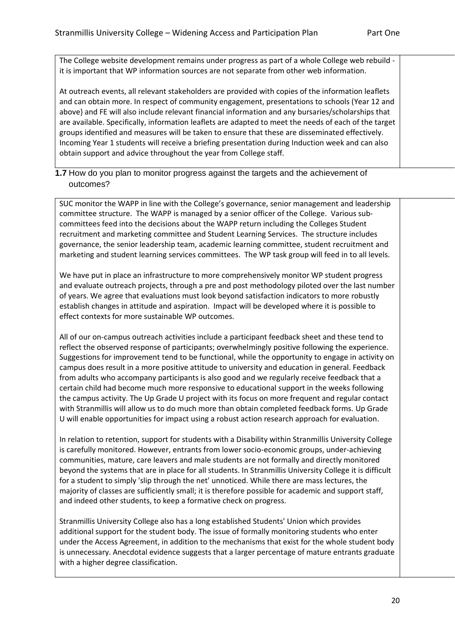The College website development remains under progress as part of a whole College web rebuild it is important that WP information sources are not separate from other web information.

At outreach events, all relevant stakeholders are provided with copies of the information leaflets and can obtain more. In respect of community engagement, presentations to schools (Year 12 and above} and FE will also include relevant financial information and any bursaries/scholarships that are available. Specifically, information leaflets are adapted to meet the needs of each of the target groups identified and measures will be taken to ensure that these are disseminated effectively. Incoming Year 1 students will receive a briefing presentation during Induction week and can also obtain support and advice throughout the year from College staff.

**1.7** How do you plan to monitor progress against the targets and the achievement of outcomes?

SUC monitor the WAPP in line with the College's governance, senior management and leadership committee structure. The WAPP is managed by a senior officer of the College. Various subcommittees feed into the decisions about the WAPP return including the Colleges Student recruitment and marketing committee and Student Learning Services. The structure includes governance, the senior leadership team, academic learning committee, student recruitment and marketing and student learning services committees. The WP task group will feed in to all levels.

We have put in place an infrastructure to more comprehensively monitor WP student progress and evaluate outreach projects, through a pre and post methodology piloted over the last number of years. We agree that evaluations must look beyond satisfaction indicators to more robustly establish changes in attitude and aspiration. Impact will be developed where it is possible to effect contexts for more sustainable WP outcomes.

All of our on-campus outreach activities include a participant feedback sheet and these tend to reflect the observed response of participants; overwhelmingly positive following the experience. Suggestions for improvement tend to be functional, while the opportunity to engage in activity on campus does result in a more positive attitude to university and education in general. Feedback from adults who accompany participants is also good and we regularly receive feedback that a certain child had become much more responsive to educational support in the weeks following the campus activity. The Up Grade U project with its focus on more frequent and regular contact with Stranmillis will allow us to do much more than obtain completed feedback forms. Up Grade U will enable opportunities for impact using a robust action research approach for evaluation.

In relation to retention, support for students with a Disability within Stranmillis University College is carefully monitored. However, entrants from lower socio-economic groups, under-achieving communities, mature, care leavers and male students are not formally and directly monitored beyond the systems that are in place for all students. In Stranmillis University College it is difficult for a student to simply 'slip through the net' unnoticed. While there are mass lectures, the majority of classes are sufficiently small; it is therefore possible for academic and support staff, and indeed other students, to keep a formative check on progress.

Stranmillis University College also has a long established Students' Union which provides additional support for the student body. The issue of formally monitoring students who enter under the Access Agreement, in addition to the mechanisms that exist for the whole student body is unnecessary. Anecdotal evidence suggests that a larger percentage of mature entrants graduate with a higher degree classification.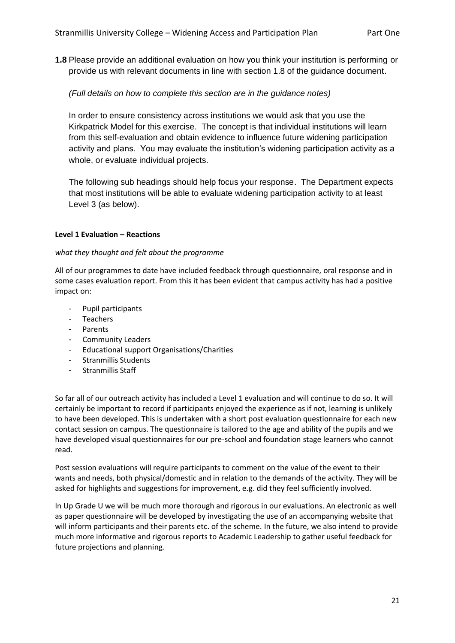**1.8** Please provide an additional evaluation on how you think your institution is performing or provide us with relevant documents in line with section 1.8 of the guidance document.

*(Full details on how to complete this section are in the guidance notes)*

In order to ensure consistency across institutions we would ask that you use the Kirkpatrick Model for this exercise. The concept is that individual institutions will learn from this self-evaluation and obtain evidence to influence future widening participation activity and plans. You may evaluate the institution's widening participation activity as a whole, or evaluate individual projects.

The following sub headings should help focus your response. The Department expects that most institutions will be able to evaluate widening participation activity to at least Level 3 (as below).

### **Level 1 Evaluation – Reactions**

### *what they thought and felt about the programme*

All of our programmes to date have included feedback through questionnaire, oral response and in some cases evaluation report. From this it has been evident that campus activity has had a positive impact on:

- Pupil participants
- Teachers
- **Parents**
- Community Leaders
- Educational support Organisations/Charities
- Stranmillis Students
- Stranmillis Staff

So far all of our outreach activity has included a Level 1 evaluation and will continue to do so. It will certainly be important to record if participants enjoyed the experience as if not, learning is unlikely to have been developed. This is undertaken with a short post evaluation questionnaire for each new contact session on campus. The questionnaire is tailored to the age and ability of the pupils and we have developed visual questionnaires for our pre-school and foundation stage learners who cannot read.

Post session evaluations will require participants to comment on the value of the event to their wants and needs, both physical/domestic and in relation to the demands of the activity. They will be asked for highlights and suggestions for improvement, e.g. did they feel sufficiently involved.

In Up Grade U we will be much more thorough and rigorous in our evaluations. An electronic as well as paper questionnaire will be developed by investigating the use of an accompanying website that will inform participants and their parents etc. of the scheme. In the future, we also intend to provide much more informative and rigorous reports to Academic Leadership to gather useful feedback for future projections and planning.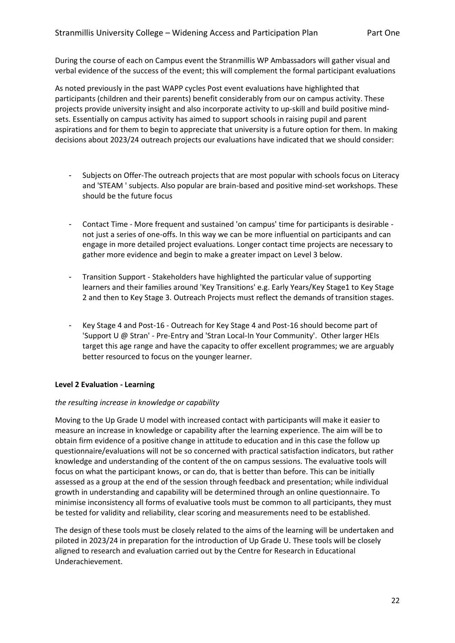During the course of each on Campus event the Stranmillis WP Ambassadors will gather visual and verbal evidence of the success of the event; this will complement the formal participant evaluations

As noted previously in the past WAPP cycles Post event evaluations have highlighted that participants (children and their parents) benefit considerably from our on campus activity. These projects provide university insight and also incorporate activity to up-skill and build positive mindsets. Essentially on campus activity has aimed to support schools in raising pupil and parent aspirations and for them to begin to appreciate that university is a future option for them. In making decisions about 2023/24 outreach projects our evaluations have indicated that we should consider:

- Subjects on Offer-The outreach projects that are most popular with schools focus on Literacy and 'STEAM ' subjects. Also popular are brain-based and positive mind-set workshops. These should be the future focus
- Contact Time More frequent and sustained 'on campus' time for participants is desirable not just a series of one-offs. In this way we can be more influential on participants and can engage in more detailed project evaluations. Longer contact time projects are necessary to gather more evidence and begin to make a greater impact on Level 3 below.
- Transition Support Stakeholders have highlighted the particular value of supporting learners and their families around 'Key Transitions' e.g. Early Years/Key Stage1 to Key Stage 2 and then to Key Stage 3. Outreach Projects must reflect the demands of transition stages.
- Key Stage 4 and Post-16 Outreach for Key Stage 4 and Post-16 should become part of 'Support U @ Stran' - Pre-Entry and 'Stran Local-In Your Community'. Other larger HEIs target this age range and have the capacity to offer excellent programmes; we are arguably better resourced to focus on the younger learner.

## **Level 2 Evaluation - Learning**

## *the resulting increase in knowledge or capability*

Moving to the Up Grade U model with increased contact with participants will make it easier to measure an increase in knowledge or capability after the learning experience. The aim will be to obtain firm evidence of a positive change in attitude to education and in this case the follow up questionnaire/evaluations will not be so concerned with practical satisfaction indicators, but rather knowledge and understanding of the content of the on campus sessions. The evaluative tools will focus on what the participant knows, or can do, that is better than before. This can be initially assessed as a group at the end of the session through feedback and presentation; while individual growth in understanding and capability will be determined through an online questionnaire. To minimise inconsistency all forms of evaluative tools must be common to all participants, they must be tested for validity and reliability, clear scoring and measurements need to be established.

The design of these tools must be closely related to the aims of the learning will be undertaken and piloted in 2023/24 in preparation for the introduction of Up Grade U. These tools will be closely aligned to research and evaluation carried out by the Centre for Research in Educational Underachievement.